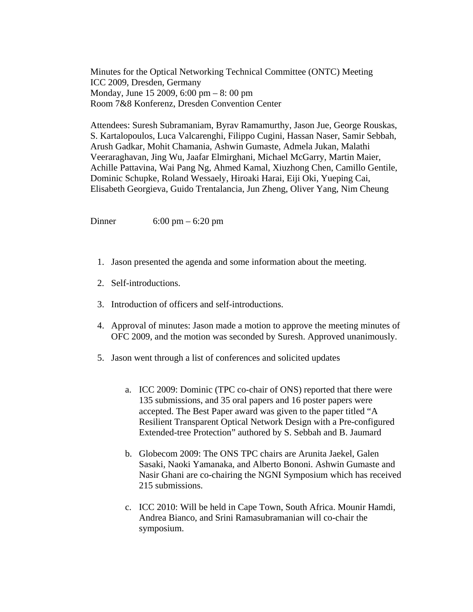Minutes for the Optical Networking Technical Committee (ONTC) Meeting ICC 2009, Dresden, Germany Monday, June 15 2009, 6:00 pm – 8: 00 pm Room 7&8 Konferenz, Dresden Convention Center

Attendees: Suresh Subramaniam, Byrav Ramamurthy, Jason Jue, George Rouskas, S. Kartalopoulos, Luca Valcarenghi, Filippo Cugini, Hassan Naser, Samir Sebbah, Arush Gadkar, Mohit Chamania, Ashwin Gumaste, Admela Jukan, Malathi Veeraraghavan, Jing Wu, Jaafar Elmirghani, Michael McGarry, Martin Maier, Achille Pattavina, Wai Pang Ng, Ahmed Kamal, Xiuzhong Chen, Camillo Gentile, Dominic Schupke, Roland Wessaely, Hiroaki Harai, Eiji Oki, Yueping Cai, Elisabeth Georgieva, Guido Trentalancia, Jun Zheng, Oliver Yang, Nim Cheung

Dinner 6:00 pm – 6:20 pm

- 1. Jason presented the agenda and some information about the meeting.
- 2. Self-introductions.
- 3. Introduction of officers and self-introductions.
- 4. Approval of minutes: Jason made a motion to approve the meeting minutes of OFC 2009, and the motion was seconded by Suresh. Approved unanimously.
- 5. Jason went through a list of conferences and solicited updates
	- a. ICC 2009: Dominic (TPC co-chair of ONS) reported that there were 135 submissions, and 35 oral papers and 16 poster papers were accepted. The Best Paper award was given to the paper titled "A Resilient Transparent Optical Network Design with a Pre-configured Extended-tree Protection" authored by S. Sebbah and B. Jaumard
	- b. Globecom 2009: The ONS TPC chairs are Arunita Jaekel, Galen Sasaki, Naoki Yamanaka, and Alberto Bononi. Ashwin Gumaste and Nasir Ghani are co-chairing the NGNI Symposium which has received 215 submissions.
	- c. ICC 2010: Will be held in Cape Town, South Africa. Mounir Hamdi, Andrea Bianco, and Srini Ramasubramanian will co-chair the symposium.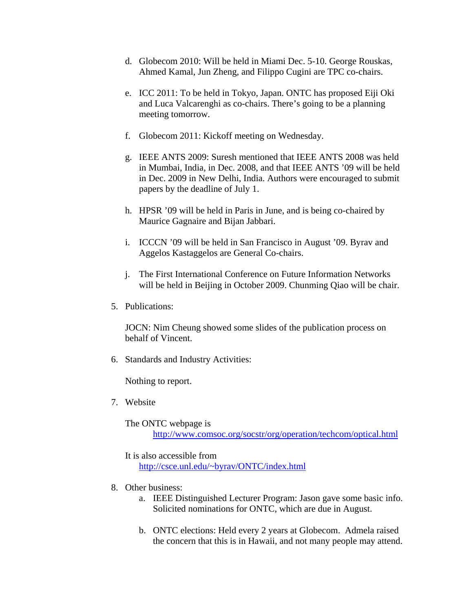- d. Globecom 2010: Will be held in Miami Dec. 5-10. George Rouskas, Ahmed Kamal, Jun Zheng, and Filippo Cugini are TPC co-chairs.
- e. ICC 2011: To be held in Tokyo, Japan. ONTC has proposed Eiji Oki and Luca Valcarenghi as co-chairs. There's going to be a planning meeting tomorrow.
- f. Globecom 2011: Kickoff meeting on Wednesday.
- g. IEEE ANTS 2009: Suresh mentioned that IEEE ANTS 2008 was held in Mumbai, India, in Dec. 2008, and that IEEE ANTS '09 will be held in Dec. 2009 in New Delhi, India. Authors were encouraged to submit papers by the deadline of July 1.
- h. HPSR '09 will be held in Paris in June, and is being co-chaired by Maurice Gagnaire and Bijan Jabbari.
- i. ICCCN '09 will be held in San Francisco in August '09. Byrav and Aggelos Kastaggelos are General Co-chairs.
- j. The First International Conference on Future Information Networks will be held in Beijing in October 2009. Chunming Qiao will be chair.
- 5. Publications:

JOCN: Nim Cheung showed some slides of the publication process on behalf of Vincent.

6. Standards and Industry Activities:

Nothing to report.

7. Website

The ONTC webpage is http://www.comsoc.org/socstr/org/operation/techcom/optical.html

It is also accessible from http://csce.unl.edu/~byrav/ONTC/index.html

- 8. Other business:
	- a. IEEE Distinguished Lecturer Program: Jason gave some basic info. Solicited nominations for ONTC, which are due in August.
	- b. ONTC elections: Held every 2 years at Globecom. Admela raised the concern that this is in Hawaii, and not many people may attend.